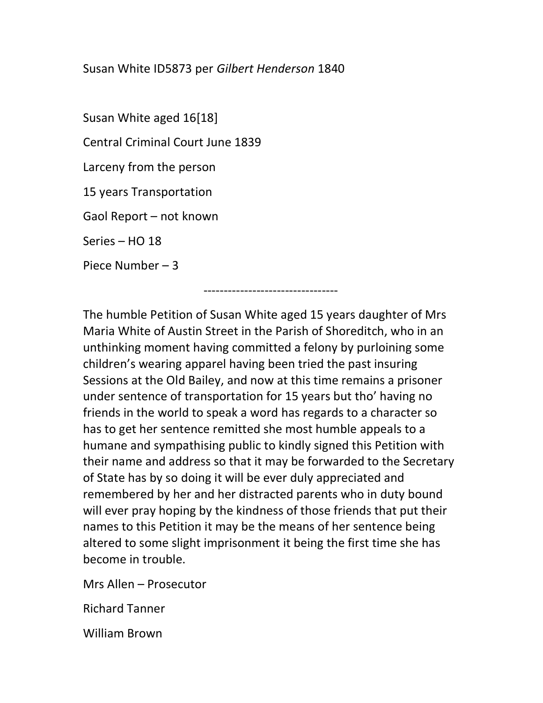## Susan White ID5873 per Gilbert Henderson 1840

---------------------------------

Susan White aged 16[18] Central Criminal Court June 1839 Larceny from the person 15 years Transportation Gaol Report – not known Series – HO 18 Piece Number – 3

The humble Petition of Susan White aged 15 years daughter of Mrs Maria White of Austin Street in the Parish of Shoreditch, who in an unthinking moment having committed a felony by purloining some children's wearing apparel having been tried the past insuring Sessions at the Old Bailey, and now at this time remains a prisoner under sentence of transportation for 15 years but tho' having no friends in the world to speak a word has regards to a character so has to get her sentence remitted she most humble appeals to a humane and sympathising public to kindly signed this Petition with their name and address so that it may be forwarded to the Secretary of State has by so doing it will be ever duly appreciated and remembered by her and her distracted parents who in duty bound will ever pray hoping by the kindness of those friends that put their names to this Petition it may be the means of her sentence being altered to some slight imprisonment it being the first time she has become in trouble.

Mrs Allen – Prosecutor

Richard Tanner

William Brown